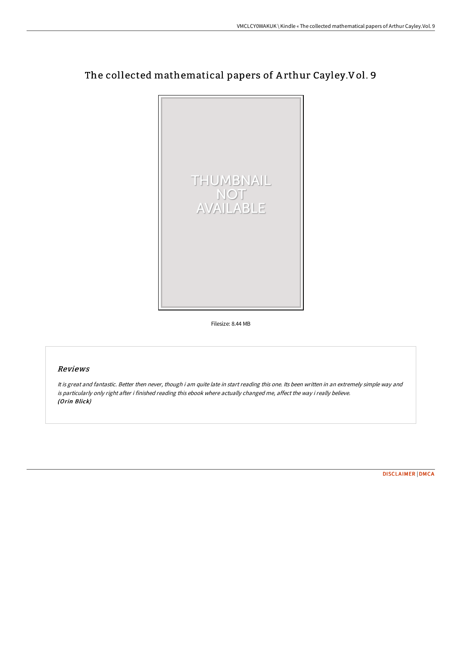# The collected mathematical papers of A rthur Cayley.Vol. 9



Filesize: 8.44 MB

## Reviews

It is great and fantastic. Better then never, though i am quite late in start reading this one. Its been written in an extremely simple way and is particularly only right after i finished reading this ebook where actually changed me, affect the way i really believe. (Orin Blick)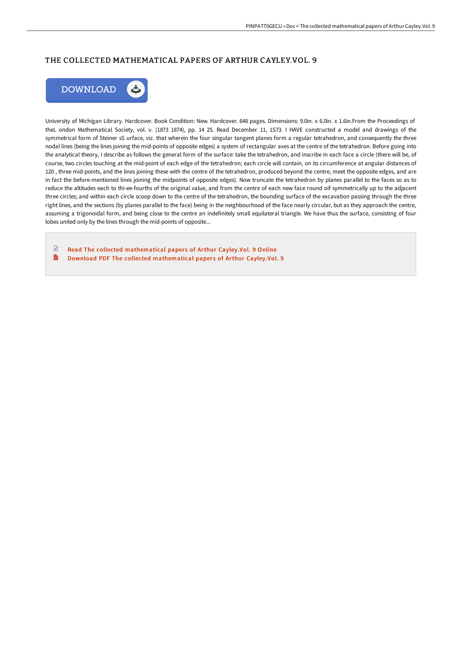# THE COLLECTED MATHEMATICAL PAPERS OF ARTHUR CAYLEY.VOL. 9



University of Michigan Library. Hardcover. Book Condition: New. Hardcover. 648 pages. Dimensions: 9.0in. x 6.0in. x 1.6in.From the Proceedings of theL ondon Mathematical Society, vol. v. (1873 1874), pp. 14 25. Read December 11, 1S73. I HAVE constructed a model and drawings of the symmetrical form of Steiner sS urface, viz. that wherein the four singular tangent planes form a regular tetrahedron, and consequently the three nodal lines (being the lines joining the mid-points of opposite edges) a system of rectangular axes at the centre of the tetrahedron. Before going into the analytical theory, I describe as follows the general form of the surface: take the tetrahedron, and inscribe in each face a circle (there will be, of course, two circles touching at the mid-point of each edge of the tetrahedron; each circle will contain, on its circumference at angular distances of 120 , three mid-points, and the lines joining these with the centre of the tetrahedron, produced beyond the centre, meet the opposite edges, and are in fact the before-mentioned lines joining the midpoints of opposite edges). Now truncate the tetrahedron by planes parallel to the faces so as to reduce the altitudes each to thi-ee-fourths of the original value, and from the centre of each new face round oif symmetrically up to the adjacent three circles; and within each circle scoop down to the centre of the tetrahedron, the bounding surface of the excavation passing through the three right lines, and the sections (by planes parallel to the face) being in the neighbourhood of the face nearly circular, but as they approach the centre, assuming a trigonoidal form, and being close to the centre an indefinitely small equilateral triangle. We have thus the surface, consisting of four lobes united only by the lines through the mid-points of opposite...

 $\begin{tabular}{|c|c|} \hline \quad \quad & \quad \quad & \quad \quad \\ \hline \end{tabular}$ Read The collected [mathematical](http://albedo.media/the-collected-mathematical-papers-of-arthur-cayl-2.html) papers of Arthur Cayley.Vol. 9 Online B Download PDF The collected [mathematical](http://albedo.media/the-collected-mathematical-papers-of-arthur-cayl-2.html) papers of Arthur Cayley.Vol. 9